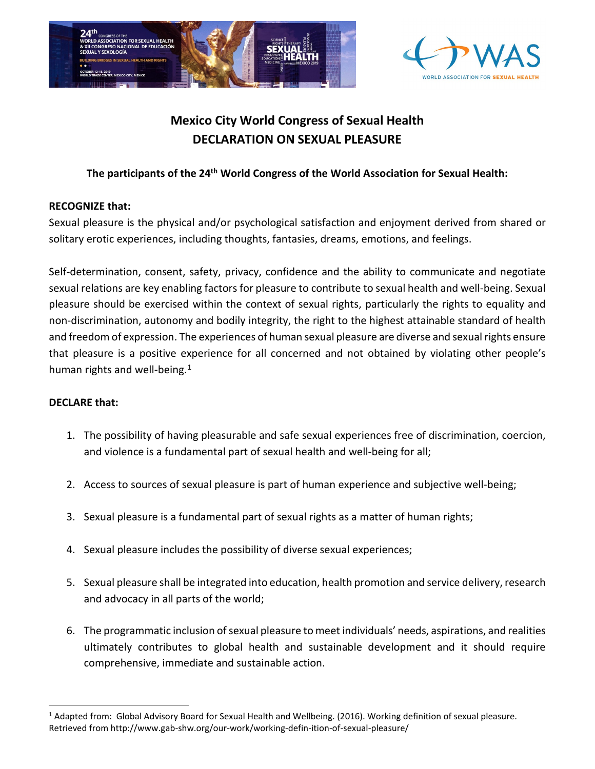



## **Mexico City World Congress of Sexual Health DECLARATION ON SEXUAL PLEASURE**

## **The participants of the 24th World Congress of the World Association for Sexual Health:**

## **RECOGNIZE that:**

Sexual pleasure is the physical and/or psychological satisfaction and enjoyment derived from shared or solitary erotic experiences, including thoughts, fantasies, dreams, emotions, and feelings.

Self-determination, consent, safety, privacy, confidence and the ability to communicate and negotiate sexual relations are key enabling factors for pleasure to contribute to sexual health and well-being. Sexual pleasure should be exercised within the context of sexual rights, particularly the rights to equality and non-discrimination, autonomy and bodily integrity, the right to the highest attainable standard of health and freedom of expression. The experiences of human sexual pleasure are diverse and sexual rights ensure that pleasure is a positive experience for all concerned and not obtained by violating other people's human rights and well-being. $1$ 

## **DECLARE that:**

- 1. The possibility of having pleasurable and safe sexual experiences free of discrimination, coercion, and violence is a fundamental part of sexual health and well-being for all;
- 2. Access to sources of sexual pleasure is part of human experience and subjective well-being;
- 3. Sexual pleasure is a fundamental part of sexual rights as a matter of human rights;
- 4. Sexual pleasure includes the possibility of diverse sexual experiences;
- 5. Sexual pleasure shall be integrated into education, health promotion and service delivery, research and advocacy in all parts of the world;
- 6. The programmatic inclusion of sexual pleasure to meet individuals' needs, aspirations, and realities ultimately contributes to global health and sustainable development and it should require comprehensive, immediate and sustainable action.

<span id="page-0-0"></span><sup>&</sup>lt;sup>1</sup> Adapted from: Global Advisory Board for Sexual Health and Wellbeing. (2016). Working definition of sexual pleasure. Retrieved from http://www.gab-shw.org/our-work/working-defin-ition-of-sexual-pleasure/